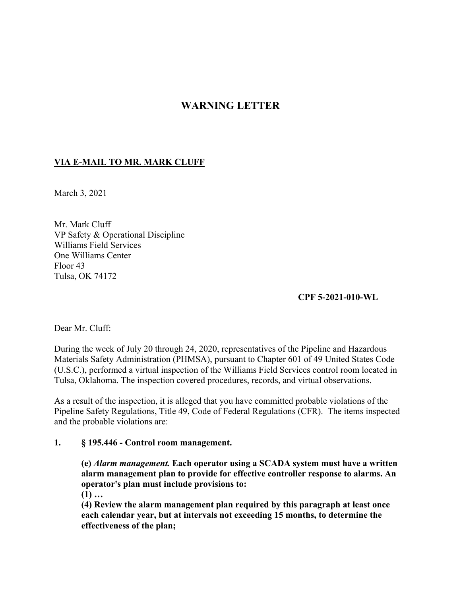# **WARNING LETTER**

## **VIA E-MAIL TO MR. MARK CLUFF**

March 3, 2021

Mr. Mark Cluff VP Safety & Operational Discipline Williams Field Services One Williams Center Floor 43 Tulsa, OK 74172

#### **CPF 5-2021-010-WL**

Dear Mr. Cluff:

During the week of July 20 through 24, 2020, representatives of the Pipeline and Hazardous Materials Safety Administration (PHMSA), pursuant to Chapter 601 of 49 United States Code (U.S.C.), performed a virtual inspection of the Williams Field Services control room located in Tulsa, Oklahoma. The inspection covered procedures, records, and virtual observations.

As a result of the inspection, it is alleged that you have committed probable violations of the Pipeline Safety Regulations, Title 49, Code of Federal Regulations (CFR). The items inspected and the probable violations are:

#### **1. § 195.446 - Control room management.**

**(e)** *Alarm management.* **Each operator using a SCADA system must have a written alarm management plan to provide for effective controller response to alarms. An operator's plan must include provisions to:** 

**(1) …** 

**(4) Review the alarm management plan required by this paragraph at least once each calendar year, but at intervals not exceeding 15 months, to determine the effectiveness of the plan;**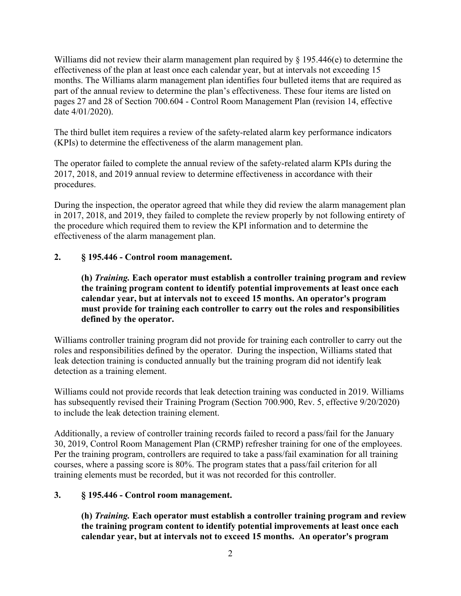Williams did not review their alarm management plan required by § 195.446(e) to determine the effectiveness of the plan at least once each calendar year, but at intervals not exceeding 15 months. The Williams alarm management plan identifies four bulleted items that are required as part of the annual review to determine the plan's effectiveness. These four items are listed on pages 27 and 28 of Section 700.604 - Control Room Management Plan (revision 14, effective date 4/01/2020).

The third bullet item requires a review of the safety-related alarm key performance indicators (KPIs) to determine the effectiveness of the alarm management plan.

The operator failed to complete the annual review of the safety-related alarm KPIs during the 2017, 2018, and 2019 annual review to determine effectiveness in accordance with their procedures.

During the inspection, the operator agreed that while they did review the alarm management plan in 2017, 2018, and 2019, they failed to complete the review properly by not following entirety of the procedure which required them to review the KPI information and to determine the effectiveness of the alarm management plan.

## **2. § 195.446 - Control room management.**

**(h)** *Training.* **Each operator must establish a controller training program and review the training program content to identify potential improvements at least once each calendar year, but at intervals not to exceed 15 months. An operator's program must provide for training each controller to carry out the roles and responsibilities defined by the operator.** 

Williams controller training program did not provide for training each controller to carry out the roles and responsibilities defined by the operator. During the inspection, Williams stated that leak detection training is conducted annually but the training program did not identify leak detection as a training element.

Williams could not provide records that leak detection training was conducted in 2019. Williams has subsequently revised their Training Program (Section 700.900, Rev. 5, effective 9/20/2020) to include the leak detection training element.

Additionally, a review of controller training records failed to record a pass/fail for the January 30, 2019, Control Room Management Plan (CRMP) refresher training for one of the employees. Per the training program, controllers are required to take a pass/fail examination for all training courses, where a passing score is 80%. The program states that a pass/fail criterion for all training elements must be recorded, but it was not recorded for this controller.

## **3. § 195.446 - Control room management.**

**(h)** *Training.* **Each operator must establish a controller training program and review the training program content to identify potential improvements at least once each calendar year, but at intervals not to exceed 15 months. An operator's program**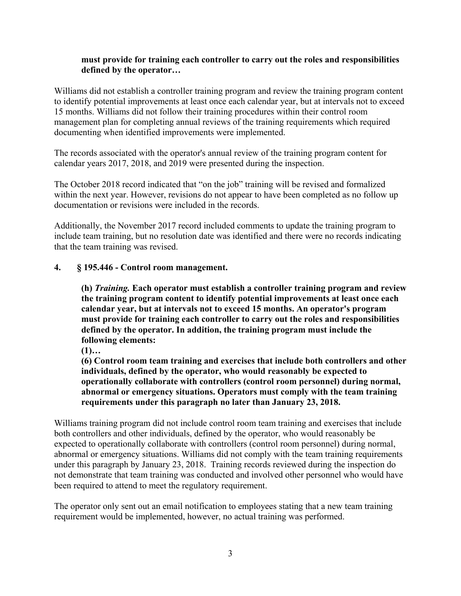### **must provide for training each controller to carry out the roles and responsibilities defined by the operator…**

Williams did not establish a controller training program and review the training program content to identify potential improvements at least once each calendar year, but at intervals not to exceed 15 months. Williams did not follow their training procedures within their control room management plan for completing annual reviews of the training requirements which required documenting when identified improvements were implemented.

The records associated with the operator's annual review of the training program content for calendar years 2017, 2018, and 2019 were presented during the inspection.

The October 2018 record indicated that "on the job" training will be revised and formalized within the next year. However, revisions do not appear to have been completed as no follow up documentation or revisions were included in the records.

Additionally, the November 2017 record included comments to update the training program to include team training, but no resolution date was identified and there were no records indicating that the team training was revised.

#### $\mathbf{4}$ . **4. § 195.446 - Control room management.**

**(h)** *Training.* **Each operator must establish a controller training program and review the training program content to identify potential improvements at least once each calendar year, but at intervals not to exceed 15 months. An operator's program must provide for training each controller to carry out the roles and responsibilities defined by the operator. In addition, the training program must include the following elements:** 

**(1)…** 

**(6) Control room team training and exercises that include both controllers and other individuals, defined by the operator, who would reasonably be expected to operationally collaborate with controllers (control room personnel) during normal, abnormal or emergency situations. Operators must comply with the team training requirements under this paragraph no later than January 23, 2018.** 

Williams training program did not include control room team training and exercises that include both controllers and other individuals, defined by the operator, who would reasonably be expected to operationally collaborate with controllers (control room personnel) during normal, abnormal or emergency situations. Williams did not comply with the team training requirements under this paragraph by January 23, 2018. Training records reviewed during the inspection do not demonstrate that team training was conducted and involved other personnel who would have been required to attend to meet the regulatory requirement.

The operator only sent out an email notification to employees stating that a new team training requirement would be implemented, however, no actual training was performed.